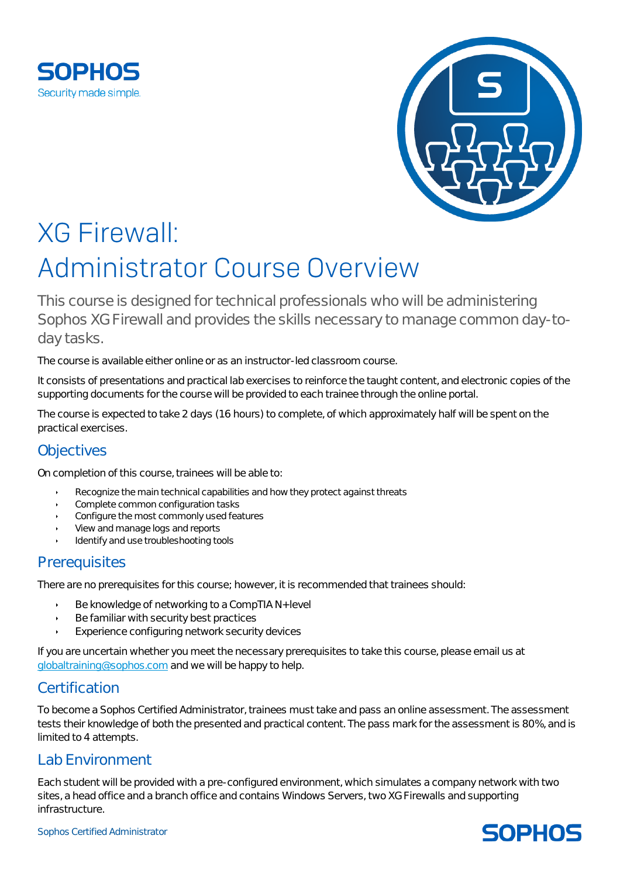



# **XG Firewall:** Administrator Course Overview

This course is designed for technical professionals who will be administering Sophos XG Firewall and provides the skills necessary to manage common day-today tasks.

The course is available either online or as an instructor-led classroom course.

It consists of presentations and practical lab exercises to reinforce the taught content, and electronic copies of the supporting documents for the course will be provided to each trainee through the online portal.

The course is expected to take 2 days (16 hours) to complete, of which approximately half will be spent on the practical exercises.

## **Objectives**

On completion of this course, trainees will be able to:

- Recognize the main technical capabilities and how they protect against threats
- Complete common configuration tasks
- Configure the most commonly used features
- View and manage logs and reports
- Identify and use troubleshooting tools

## **Prerequisites**

There are no prerequisites for this course; however, it is recommended that trainees should:

- Be knowledge of networking to a CompTIA N+ level
- Be familiar with security best practices
- Experience configuring network security devices

If you are uncertain whether you meet the necessary prerequisites to take this course, please email us at [globaltraining@sophos.com](mailto:globaltraining@sophos.com) and we will be happy to help.

## Certification

To become a Sophos Certified Administrator, trainees must take and pass an online assessment. The assessment tests their knowledge of both the presented and practical content. The pass mark for the assessment is 80%, and is limited to 4 attempts.

## Lab Environment

Each student will be provided with a pre-configured environment, which simulates a company network with two sites, a head office and a branch office and contains Windows Servers, two XG Firewalls and supporting infrastructure.

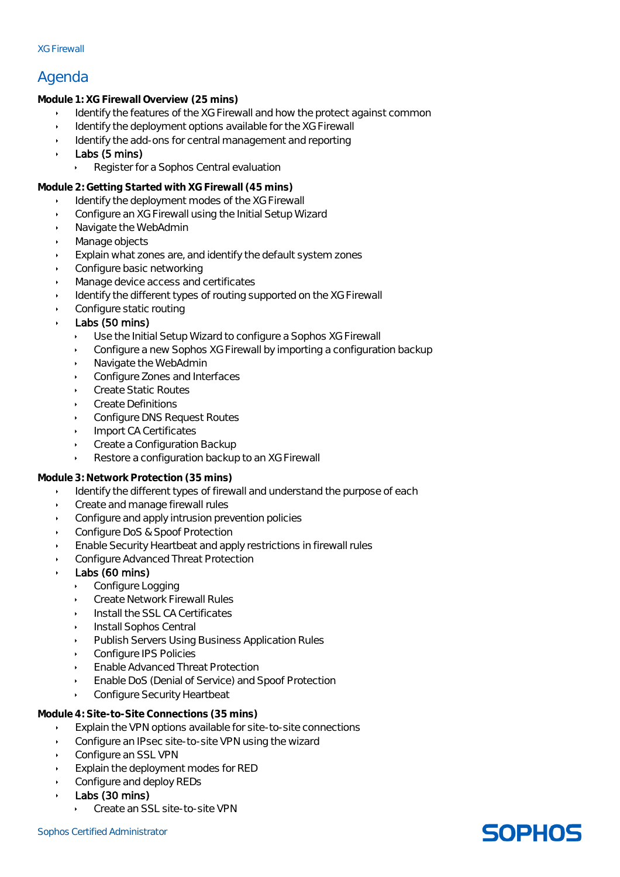#### XG Firewall

## Agenda

Module 1: XG Firewall Overview (25 mins)

- Identify the features of the XG Firewall and how the protect against common
- Identify the deployment options available for the XG Firewall
- Identify the add-ons for central management and reporting
- Labs (5 mins)
	- Register for a Sophos Central evaluation

Module 2: Getting Started with XG Firewall (45 mins)

- Identify the deployment modes of the XG Firewall
- Configure an XG Firewall using the Initial Setup Wizard
- Navigate the WebAdmin
- Manage objects
- Explain what zones are, and identify the default system zones
- Configure basic networking
- Manage device access and certificates
- Identify the different types of routing supported on the XG Firewall
- Configure static routing
- Labs (50 mins)
	- Use the Initial Setup Wizard to configure a Sophos XG Firewall
	- Configure a new Sophos XG Firewall by importing a configuration backup
	- Navigate the WebAdmin
	- Configure Zones and Interfaces
	- Create Static Routes
	- Create Definitions
	- Configure DNS Request Routes
	- Import CA Certificates
	- Create a Configuration Backup
	- Restore a configuration backup to an XG Firewall

Module 3: Network Protection (35 mins)

- Identify the different types of firewall and understand the purpose of each
- Create and manage firewall rules
- Configure and apply intrusion prevention policies
- Configure DoS & Spoof Protection
- Enable Security Heartbeat and apply restrictions in firewall rules
- Configure Advanced Threat Protection
- Labs (60 mins)
	- Configure Logging
	- Create Network Firewall Rules
	- Install the SSL CA Certificates
	- Install Sophos Central
	- Publish Servers Using Business Application Rules
	- Configure IPS Policies
	- Enable Advanced Threat Protection
	- Enable DoS (Denial of Service) and Spoof Protection
	- Configure Security Heartbeat

Module 4: Site-to-Site Connections (35 mins)

- Explain the VPN options available for site-to-site connections
- Configure an IPsec site-to-site VPN using the wizard
- Configure an SSL VPN
- Explain the deployment modes for RED
- Configure and deploy REDs
- Labs (30 mins)
	- Create an SSL site-to-site VPN

## **SOPHOS**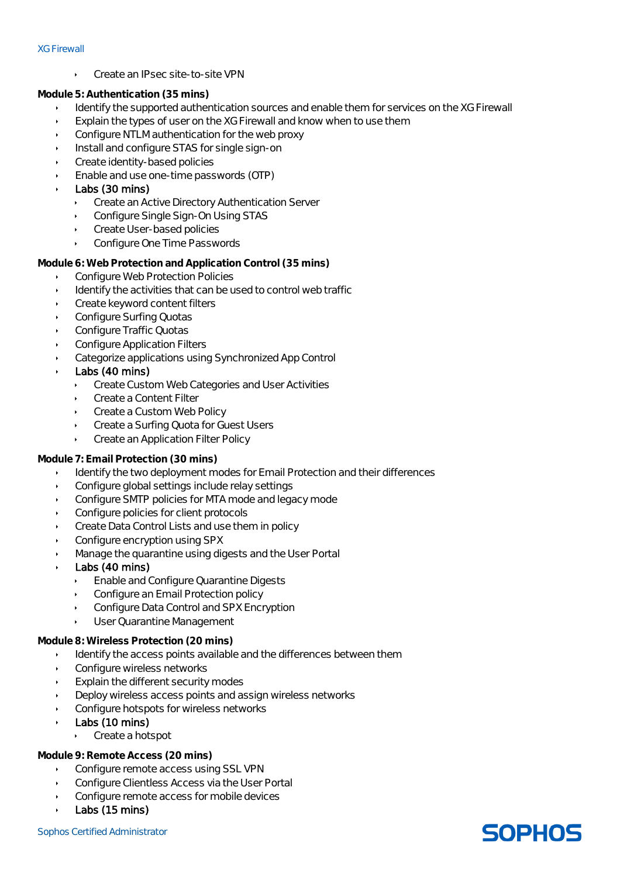#### XG Firewall

Create an IPsec site-to-site VPN

Module 5: Authentication (35 mins)

- Identify the supported authentication sources and enable them for services on the XG Firewall
- Explain the types of user on the XG Firewall and know when to use them
- Configure NTLM authentication for the web proxy
- Install and configure STAS for single sign-on
- Create identity-based policies
- Enable and use one-time passwords (OTP)
- Labs (30 mins)
	- Create an Active Directory Authentication Server
	- Configure Single Sign-On Using STAS
	- Create User-based policies
	- Configure One Time Passwords

Module 6: Web Protection and Application Control (35 mins)

- Configure Web Protection Policies
- Identify the activities that can be used to control web traffic
- Create keyword content filters
- Configure Surfing Quotas
- Configure Traffic Quotas
- Configure Application Filters
- Categorize applications using Synchronized App Control
- Labs (40 mins)
	- Create Custom Web Categories and User Activities
	- Create a Content Filter
	- Create a Custom Web Policy
	- Create a Surfing Quota for Guest Users
	- Create an Application Filter Policy

#### Module 7: Email Protection (30 mins)

- Identify the two deployment modes for Email Protection and their differences
- Configure global settings include relay settings
- Configure SMTP policies for MTA mode and legacy mode
- Configure policies for client protocols
- Create Data Control Lists and use them in policy
- Configure encryption using SPX
- Manage the quarantine using digests and the User Portal
- Labs (40 mins)
	- **Enable and Configure Quarantine Digests**
	- Configure an Email Protection policy
	- Configure Data Control and SPX Encryption
	- User Quarantine Management

#### Module 8: Wireless Protection (20 mins)

- Identify the access points available and the differences between them
- Configure wireless networks
- Explain the different security modes
- Deploy wireless access points and assign wireless networks
- Configure hotspots for wireless networks
- Labs (10 mins)
	- Create a hotspot

#### Module 9: Remote Access (20 mins)

- Configure remote access using SSL VPN
- Configure Clientless Access via the User Portal
- Configure remote access for mobile devices
- Labs (15 mins)

## **SOPHOS**